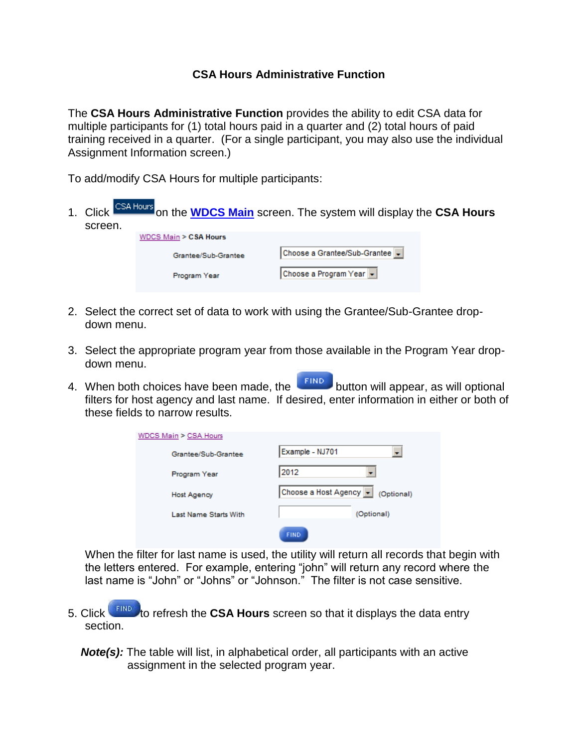## **CSA Hours Administrative Function**

The **CSA Hours Administrative Function** provides the ability to edit CSA data for multiple participants for (1) total hours paid in a quarter and (2) total hours of paid training received in a quarter. (For a single participant, you may also use the individual Assignment Information screen.)

To add/modify CSA Hours for multiple participants:

| screen. | Click CSA Hours on the <b>WDCS Main</b> screen. The system will display the CSA Hours |                              |  |  |  |  |  |
|---------|---------------------------------------------------------------------------------------|------------------------------|--|--|--|--|--|
|         | WDCS Main > CSA Hours                                                                 |                              |  |  |  |  |  |
|         | Grantee/Sub-Grantee                                                                   | Choose a Grantee/Sub-Grantee |  |  |  |  |  |
|         | Program Year                                                                          | Choose a Program Year v      |  |  |  |  |  |
|         |                                                                                       |                              |  |  |  |  |  |

- 2. Select the correct set of data to work with using the Grantee/Sub-Grantee dropdown menu.
- 3. Select the appropriate program year from those available in the Program Year dropdown menu.
- 4. When both choices have been made, the **button will appear, as will optional** filters for host agency and last name. If desired, enter information in either or both of these fields to narrow results.

| WDCS Main > CSA Hours        |                                   |  |  |  |  |  |
|------------------------------|-----------------------------------|--|--|--|--|--|
| Grantee/Sub-Grantee          | Example - NJ701                   |  |  |  |  |  |
| Program Year                 | 2012                              |  |  |  |  |  |
| Host Agency                  | Choose a Host Agency • (Optional) |  |  |  |  |  |
| <b>Last Name Starts With</b> | (Optional)                        |  |  |  |  |  |
|                              | <b>FIND</b>                       |  |  |  |  |  |

When the filter for last name is used, the utility will return all records that begin with the letters entered. For example, entering "john" will return any record where the last name is "John" or "Johns" or "Johnson." The filter is not case sensitive.

- 5. Click **that the refresh the CSA Hours** screen so that it displays the data entry section.
	- **Note(s):** The table will list, in alphabetical order, all participants with an active assignment in the selected program year.